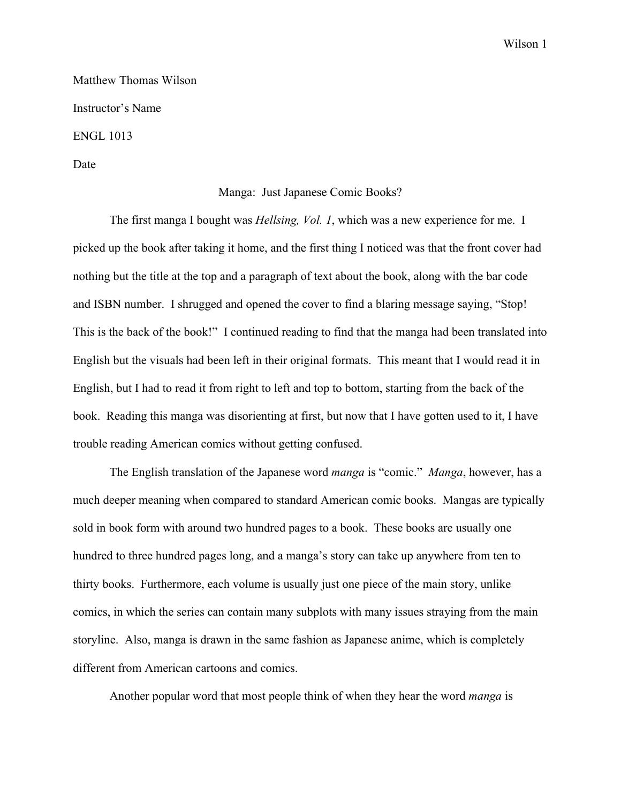Wilson 1

Matthew Thomas Wilson Instructor's Name ENGL 1013

Date

## Manga: Just Japanese Comic Books?

The first manga I bought was *Hellsing, Vol. 1*, which was a new experience for me. I picked up the book after taking it home, and the first thing I noticed was that the front cover had nothing but the title at the top and a paragraph of text about the book, along with the bar code and ISBN number. I shrugged and opened the cover to find a blaring message saying, "Stop! This is the back of the book!" I continued reading to find that the manga had been translated into English but the visuals had been left in their original formats. This meant that I would read it in English, but I had to read it from right to left and top to bottom, starting from the back of the book. Reading this manga was disorienting at first, but now that I have gotten used to it, I have trouble reading American comics without getting confused.

The English translation of the Japanese word *manga* is "comic." *Manga*, however, has a much deeper meaning when compared to standard American comic books. Mangas are typically sold in book form with around two hundred pages to a book. These books are usually one hundred to three hundred pages long, and a manga's story can take up anywhere from ten to thirty books. Furthermore, each volume is usually just one piece of the main story, unlike comics, in which the series can contain many subplots with many issues straying from the main storyline. Also, manga is drawn in the same fashion as Japanese anime, which is completely different from American cartoons and comics.

Another popular word that most people think of when they hear the word *manga* is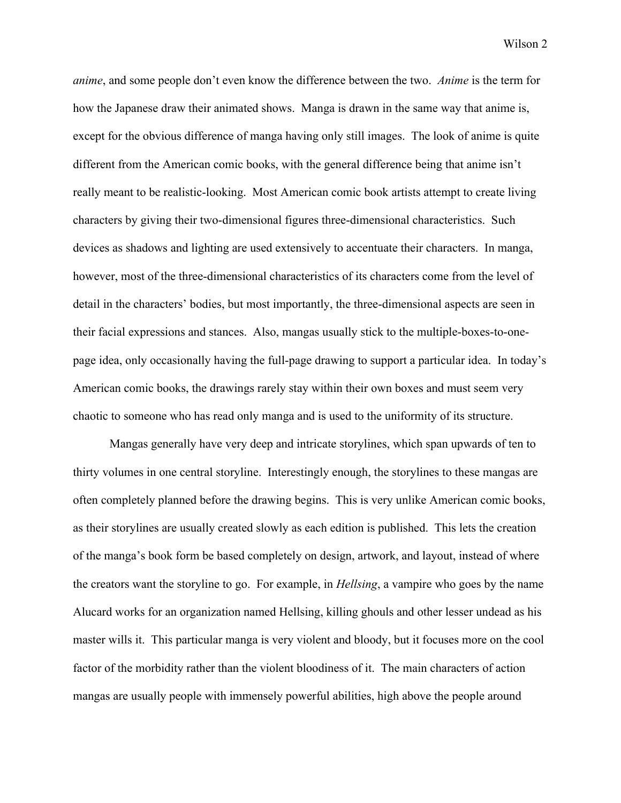Wilson 2

*anime*, and some people don't even know the difference between the two. *Anime* is the term for how the Japanese draw their animated shows. Manga is drawn in the same way that anime is, except for the obvious difference of manga having only still images. The look of anime is quite different from the American comic books, with the general difference being that anime isn't really meant to be realistic-looking. Most American comic book artists attempt to create living characters by giving their two-dimensional figures three-dimensional characteristics. Such devices as shadows and lighting are used extensively to accentuate their characters. In manga, however, most of the three-dimensional characteristics of its characters come from the level of detail in the characters' bodies, but most importantly, the three-dimensional aspects are seen in their facial expressions and stances. Also, mangas usually stick to the multiple-boxes-to-onepage idea, only occasionally having the full-page drawing to support a particular idea. In today's American comic books, the drawings rarely stay within their own boxes and must seem very chaotic to someone who has read only manga and is used to the uniformity of its structure.

Mangas generally have very deep and intricate storylines, which span upwards of ten to thirty volumes in one central storyline. Interestingly enough, the storylines to these mangas are often completely planned before the drawing begins. This is very unlike American comic books, as their storylines are usually created slowly as each edition is published. This lets the creation of the manga's book form be based completely on design, artwork, and layout, instead of where the creators want the storyline to go. For example, in *Hellsing*, a vampire who goes by the name Alucard works for an organization named Hellsing, killing ghouls and other lesser undead as his master wills it. This particular manga is very violent and bloody, but it focuses more on the cool factor of the morbidity rather than the violent bloodiness of it. The main characters of action mangas are usually people with immensely powerful abilities, high above the people around